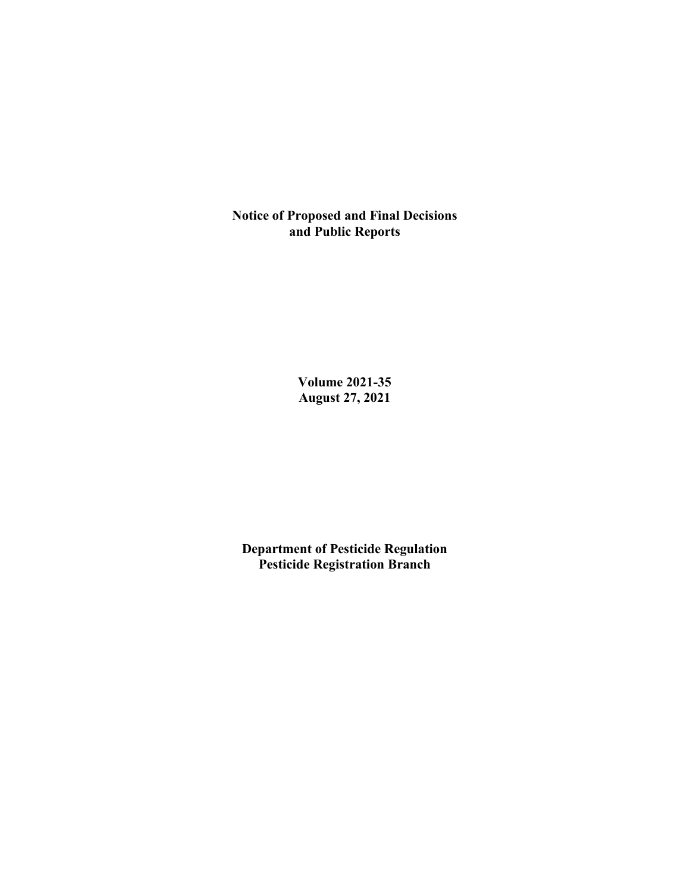**Notice of Proposed and Final Decisions and Public Reports**

> **Volume 2021-35 August 27, 2021**

**Department of Pesticide Regulation Pesticide Registration Branch**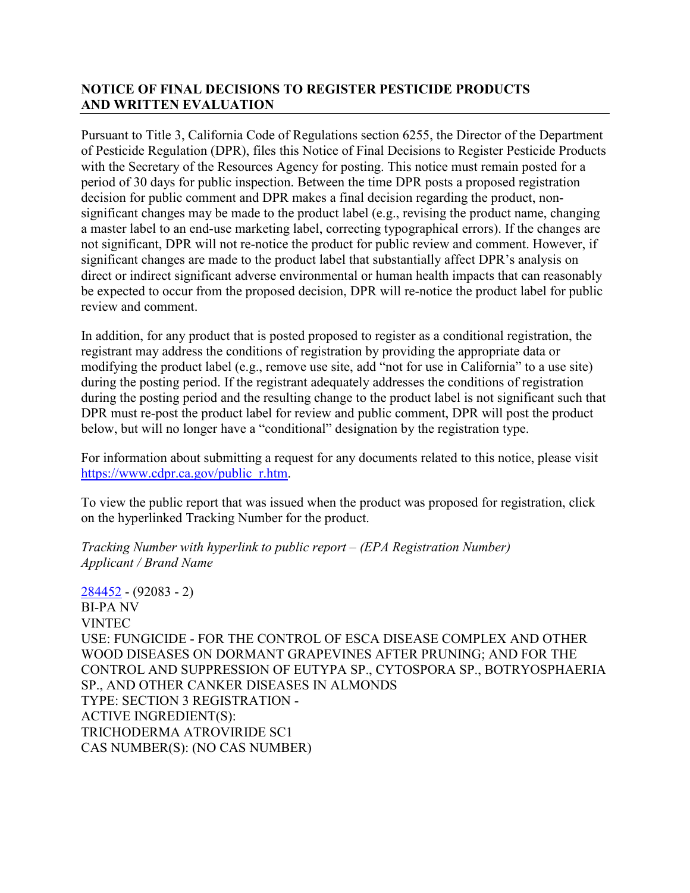# **NOTICE OF FINAL DECISIONS TO REGISTER PESTICIDE PRODUCTS AND WRITTEN EVALUATION**

Pursuant to Title 3, California Code of Regulations section 6255, the Director of the Department of Pesticide Regulation (DPR), files this Notice of Final Decisions to Register Pesticide Products with the Secretary of the Resources Agency for posting. This notice must remain posted for a period of 30 days for public inspection. Between the time DPR posts a proposed registration decision for public comment and DPR makes a final decision regarding the product, nonsignificant changes may be made to the product label (e.g., revising the product name, changing a master label to an end-use marketing label, correcting typographical errors). If the changes are not significant, DPR will not re-notice the product for public review and comment. However, if significant changes are made to the product label that substantially affect DPR's analysis on direct or indirect significant adverse environmental or human health impacts that can reasonably be expected to occur from the proposed decision, DPR will re-notice the product label for public review and comment.

In addition, for any product that is posted proposed to register as a conditional registration, the registrant may address the conditions of registration by providing the appropriate data or modifying the product label (e.g., remove use site, add "not for use in California" to a use site) during the posting period. If the registrant adequately addresses the conditions of registration during the posting period and the resulting change to the product label is not significant such that DPR must re-post the product label for review and public comment, DPR will post the product below, but will no longer have a "conditional" designation by the registration type.

For information about submitting a request for any documents related to this notice, please visit [https://www.cdpr.ca.gov/public\\_r.htm.](https://www.cdpr.ca.gov/public_r.htm)

To view the public report that was issued when the product was proposed for registration, click on the hyperlinked Tracking Number for the product.

*Tracking Number with hyperlink to public report – (EPA Registration Number) Applicant / Brand Name*

[284452](https://www.cdpr.ca.gov/docs/registration/nod/public_reports/284452.pdf) - (92083 - 2) BI-PA NV VINTEC USE: FUNGICIDE - FOR THE CONTROL OF ESCA DISEASE COMPLEX AND OTHER WOOD DISEASES ON DORMANT GRAPEVINES AFTER PRUNING; AND FOR THE CONTROL AND SUPPRESSION OF EUTYPA SP., CYTOSPORA SP., BOTRYOSPHAERIA SP., AND OTHER CANKER DISEASES IN ALMONDS TYPE: SECTION 3 REGISTRATION - ACTIVE INGREDIENT(S): TRICHODERMA ATROVIRIDE SC1 CAS NUMBER(S): (NO CAS NUMBER)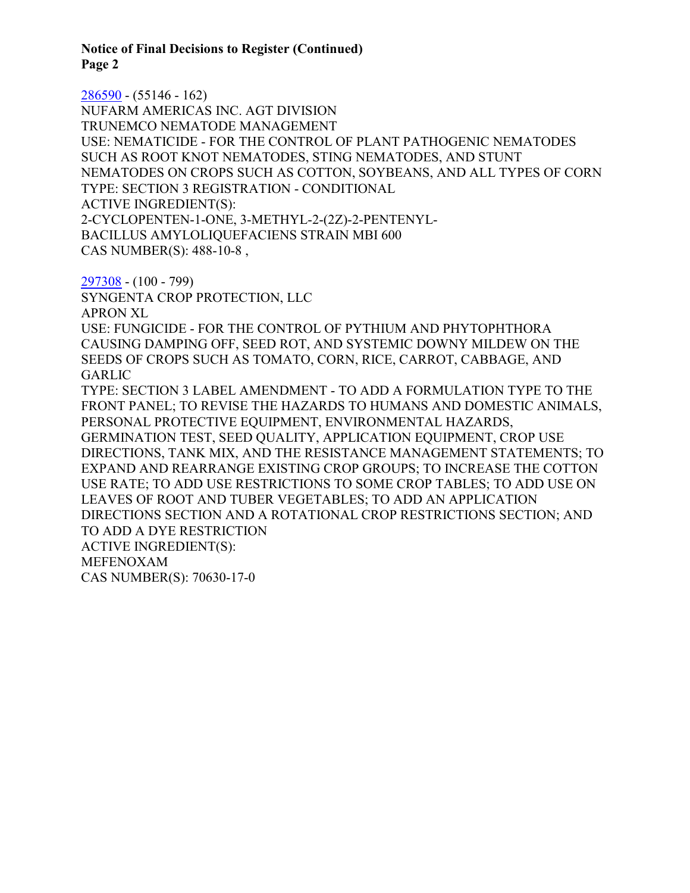**Notice of Final Decisions to Register (Continued) Page 2**

[286590](https://www.cdpr.ca.gov/docs/registration/nod/public_reports/286590.pdf) - (55146 - 162) NUFARM AMERICAS INC. AGT DIVISION TRUNEMCO NEMATODE MANAGEMENT USE: NEMATICIDE - FOR THE CONTROL OF PLANT PATHOGENIC NEMATODES SUCH AS ROOT KNOT NEMATODES, STING NEMATODES, AND STUNT NEMATODES ON CROPS SUCH AS COTTON, SOYBEANS, AND ALL TYPES OF CORN TYPE: SECTION 3 REGISTRATION - CONDITIONAL ACTIVE INGREDIENT(S): 2-CYCLOPENTEN-1-ONE, 3-METHYL-2-(2Z)-2-PENTENYL-BACILLUS AMYLOLIQUEFACIENS STRAIN MBI 600 CAS NUMBER(S): 488-10-8 ,

[297308](https://www.cdpr.ca.gov/docs/registration/nod/public_reports/297308.pdf) - (100 - 799)

SYNGENTA CROP PROTECTION, LLC APRON XL

USE: FUNGICIDE - FOR THE CONTROL OF PYTHIUM AND PHYTOPHTHORA CAUSING DAMPING OFF, SEED ROT, AND SYSTEMIC DOWNY MILDEW ON THE SEEDS OF CROPS SUCH AS TOMATO, CORN, RICE, CARROT, CABBAGE, AND GARLIC

TYPE: SECTION 3 LABEL AMENDMENT - TO ADD A FORMULATION TYPE TO THE FRONT PANEL; TO REVISE THE HAZARDS TO HUMANS AND DOMESTIC ANIMALS, PERSONAL PROTECTIVE EQUIPMENT, ENVIRONMENTAL HAZARDS, GERMINATION TEST, SEED QUALITY, APPLICATION EQUIPMENT, CROP USE DIRECTIONS, TANK MIX, AND THE RESISTANCE MANAGEMENT STATEMENTS; TO EXPAND AND REARRANGE EXISTING CROP GROUPS; TO INCREASE THE COTTON USE RATE; TO ADD USE RESTRICTIONS TO SOME CROP TABLES; TO ADD USE ON LEAVES OF ROOT AND TUBER VEGETABLES; TO ADD AN APPLICATION DIRECTIONS SECTION AND A ROTATIONAL CROP RESTRICTIONS SECTION; AND TO ADD A DYE RESTRICTION ACTIVE INGREDIENT(S): MEFENOXAM CAS NUMBER(S): 70630-17-0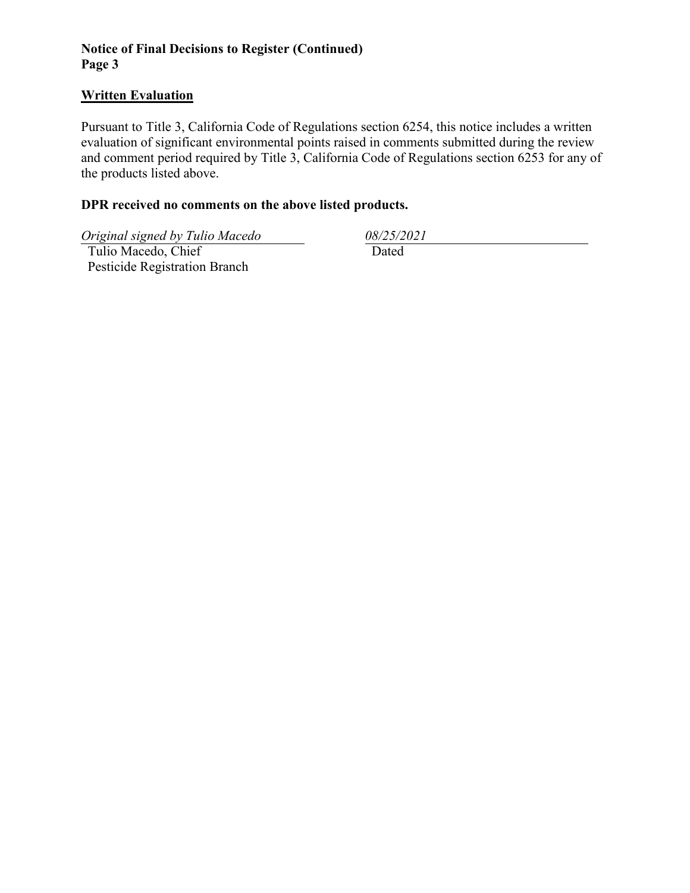# **Notice of Final Decisions to Register (Continued) Page 3**

#### **Written Evaluation**

Pursuant to Title 3, California Code of Regulations section 6254, this notice includes a written evaluation of significant environmental points raised in comments submitted during the review and comment period required by Title 3, California Code of Regulations section 6253 for any of the products listed above.

# **DPR received no comments on the above listed products.**

*Original signed by Tulio Macedo 08/25/2021*

 Tulio Macedo, Chief Pesticide Registration Branch

Dated